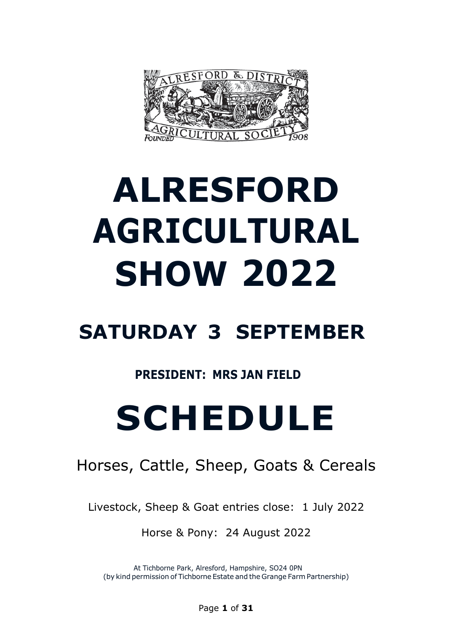

# **ALRESFORD AGRICULTURAL SHOW 2022**

# **SATURDAY 3 SEPTEMBER**

# **PRESIDENT: MRS JAN FIELD**

# **SCHEDULE**

# Horses, Cattle, Sheep, Goats & Cereals

Livestock, Sheep & Goat entries close: 1 July 2022

Horse & Pony: 24 August 2022

At Tichborne Park, Alresford, Hampshire, SO24 0PN (by kind permission of Tichborne Estate and the Grange Farm Partnership)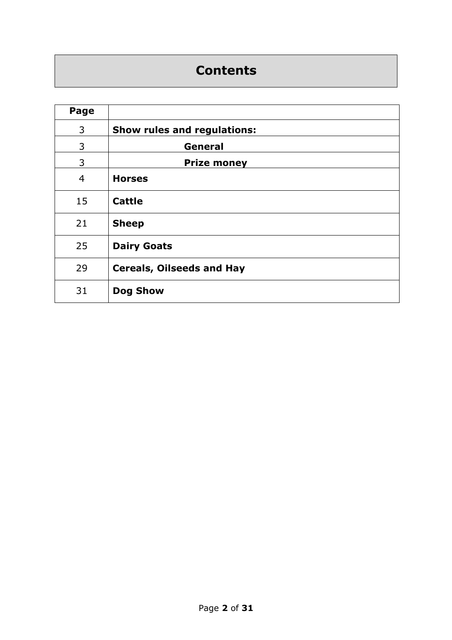# **Contents**

| Page           |                                  |
|----------------|----------------------------------|
| 3              | Show rules and regulations:      |
| 3              | General                          |
| 3              | <b>Prize money</b>               |
| $\overline{4}$ | <b>Horses</b>                    |
| 15             | <b>Cattle</b>                    |
| 21             | <b>Sheep</b>                     |
| 25             | <b>Dairy Goats</b>               |
| 29             | <b>Cereals, Oilseeds and Hay</b> |
| 31             | <b>Dog Show</b>                  |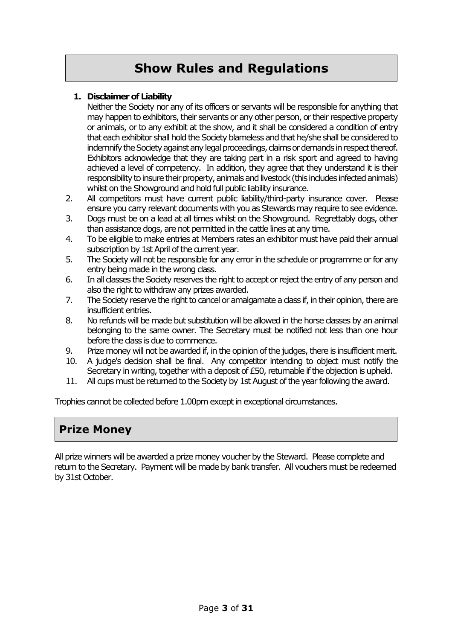# **Show Rules and Regulations**

#### **1. Disclaimer of Liability**

Neither the Society nor any of its officers or servants will be responsible for anything that may happen to exhibitors, their servants or any other person, or their respective property or animals, or to any exhibit at the show, and it shall be considered a condition of entry that each exhibitor shall hold the Society blameless and that he/sheshall be considered to indemnify the Society against any legal proceedings, claims or demands in respect thereof. Exhibitors acknowledge that they are taking part in a risk sport and agreed to having achieved a level of competency. In addition, they agree that they understand it is their responsibility to insure their property, animals and livestock (this indudes infected animals) whilst on the Showground and hold full public liability insurance.

- 2. All competitors must have current public liability/third-party insurance cover. Please ensure you carry relevant documents withyou as Stewards may require to see evidence.
- 3. Dogs must be on a lead at all times whilst on the Showground. Regrettably dogs, other than assistance dogs, are not permitted in the cattle lines at any time.
- 4. To be eligible to make entries at Members rates an exhibitor must have paid their annual subscription by 1st April of the current year.
- 5. The Society will not be responsible for any error in the schedule or programme or for any entry being made in the wrong class.
- 6. In all classes the Society reserves the right to accept or reject the entry of any person and also the right to withdraw any prizes awarded.
- 7. The Society reserve the right to cancel or amalgamate a class if, in their opinion, there are insufficient entries.
- 8. No refunds will be made but substitution will be allowed in the horse classes by an animal belonging to the same owner. The Secretary must be notified not less than one hour before the class is due to commence.
- 9. Prize money will not be awarded if, in the opinion of the judges, there is insufficient merit.
- 10. A judge's decision shall be final. Any competitor intending to object must notify the Secretary in writing, together with a deposit of £50, returnable if the objection is upheld.
- 11. All cups must be returned to the Society by 1st August of the year following the award.

Trophies cannot be collected before 1.00pm except in exceptional circumstances.

# **Prize Money**

All prize winners will be awarded a prize money voucher by the Steward. Please complete and return to the Secretary. Payment will be made by bank transfer. All vouchers must be redeemed by 31st October.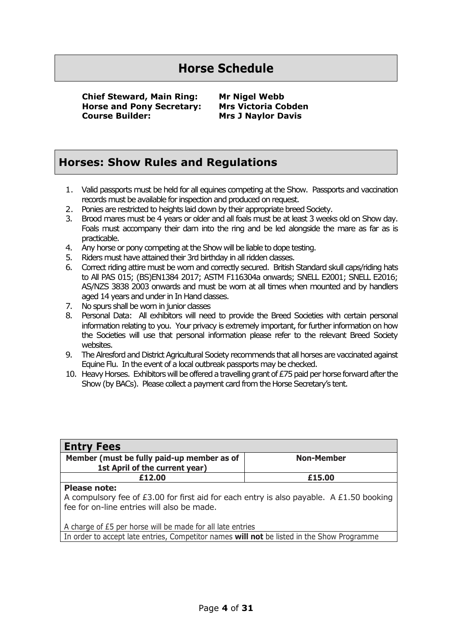# **Horse Schedule**

**Chief Steward, Main Ring: Mr Nigel Webb Horse and Pony Secretary: Mrs Victoria Cobden Course Builder: Mrs J Naylor Davis**

# **Horses: Show Rules and Regulations**

- 1. Valid passports must be held for all equines competing at the Show. Passports and vaccination records must be available for inspection and produced on request.
- 2. Ponies are restricted to heights laid down by their appropriate breed Society.
- 3. Brood mares must be 4 years or older and all foals must be at least 3 weeks old on Show day. Foals must accompany their dam into the ring and be led alongside the mare as far as is practicable.
- 4. Any horse or pony competing at the Show will be liable to dope testing.
- 5. Riders must have attained their 3rd birthday in all ridden classes.
- 6. Correct riding attire must be worn and correctly secured. British Standard skull caps/riding hats to All PAS 015; (BS)EN1384 2017; ASTM F116304a onwards; SNELL E2001; SNELL E2016; AS/NZS 3838 2003 onwards and must be worn at all times when mounted and by handlers aged 14 years and under in In Hand classes.
- 7. No spurs shall be worn in junior classes
- 8. Personal Data: All exhibitors will need to provide the Breed Societies with certain personal information relating to you. Your privacy is extremely important, for further information on how the Societies will use that personal information please refer to the relevant Breed Society websites.
- 9. The Alresford and District Agricultural Society recommends that all horses are vaccinated against Equine Flu. In the event of a local outbreak passports may be checked.
- 10. Heavy Horses. Exhibitors will be offered a travelling grant of £75 paid per horse forward after the Show (by BACs). Please collect a payment card from the Horse Secretary's tent.

| <b>Entry Fees</b>                                                                          |                   |  |  |
|--------------------------------------------------------------------------------------------|-------------------|--|--|
| Member (must be fully paid-up member as of                                                 | <b>Non-Member</b> |  |  |
| 1st April of the current year)                                                             |                   |  |  |
| £12.00                                                                                     | £15.00            |  |  |
| <b>Please note:</b>                                                                        |                   |  |  |
| A compulsory fee of £3.00 for first aid for each entry is also payable. A £1.50 booking    |                   |  |  |
| fee for on-line entries will also be made.                                                 |                   |  |  |
|                                                                                            |                   |  |  |
| A charge of £5 per horse will be made for all late entries                                 |                   |  |  |
| In order to accept late entries, Competitor names will not be listed in the Show Programme |                   |  |  |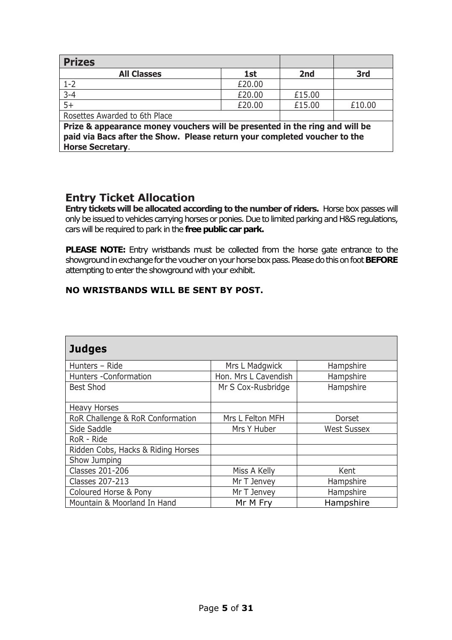| <b>Prizes</b>                                                                                                                                                                       |        |        |        |  |
|-------------------------------------------------------------------------------------------------------------------------------------------------------------------------------------|--------|--------|--------|--|
| <b>All Classes</b>                                                                                                                                                                  | 1st    | 2nd    | 3rd    |  |
| $1 - 2$                                                                                                                                                                             | £20.00 |        |        |  |
| $3 - 4$                                                                                                                                                                             | £20.00 | £15.00 |        |  |
| $5+$                                                                                                                                                                                | £20.00 | £15.00 | £10.00 |  |
| Rosettes Awarded to 6th Place                                                                                                                                                       |        |        |        |  |
| Prize & appearance money vouchers will be presented in the ring and will be<br>paid via Bacs after the Show. Please return your completed voucher to the<br><b>Horse Secretary.</b> |        |        |        |  |

# **Entry Ticket Allocation**

**Entry tickets will be allocated according to the number of riders.** Horse box passes will only be issued to vehicles carrying horses or ponies. Due to limited parking and H&S regulations, cars will be required to park in the **free public car park.**

**PLEASE NOTE:** Entry wristbands must be collected from the horse gate entrance to the showground in exchange for the voucher on your horse box pass. Please do this on foot **BEFORE** attempting to enter the showground with your exhibit.

#### **NO WRISTBANDS WILL BE SENT BY POST.**

| <b>Judges</b>                      |                      |                    |  |  |
|------------------------------------|----------------------|--------------------|--|--|
| Hunters - Ride                     | Mrs L Madgwick       | Hampshire          |  |  |
| Hunters -Conformation              | Hon. Mrs L Cavendish | Hampshire          |  |  |
| <b>Best Shod</b>                   | Mr S Cox-Rusbridge   | Hampshire          |  |  |
| <b>Heavy Horses</b>                |                      |                    |  |  |
| RoR Challenge & RoR Conformation   | Mrs L Felton MFH     | Dorset             |  |  |
| Side Saddle                        | Mrs Y Huber          | <b>West Sussex</b> |  |  |
| RoR - Ride                         |                      |                    |  |  |
| Ridden Cobs, Hacks & Riding Horses |                      |                    |  |  |
| Show Jumping                       |                      |                    |  |  |
| <b>Classes 201-206</b>             | Miss A Kelly         | Kent               |  |  |
| <b>Classes 207-213</b>             | Mr T Jenvey          | Hampshire          |  |  |
| Coloured Horse & Pony              | Mr T Jenvey          | Hampshire          |  |  |
| Mountain & Moorland In Hand        | Mr M Fry             | Hampshire          |  |  |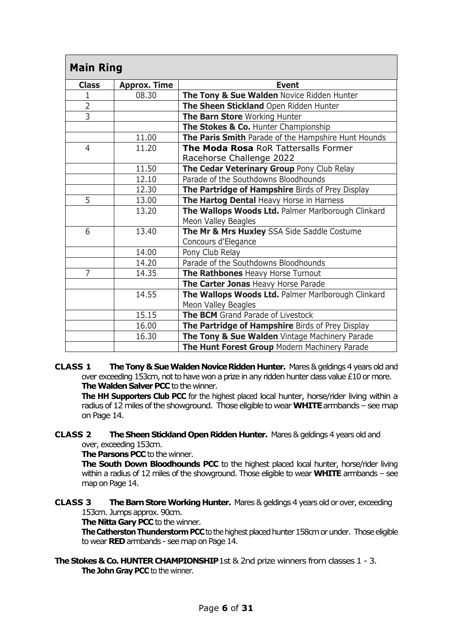| <b>Main Ring</b> |                     |                                                                         |
|------------------|---------------------|-------------------------------------------------------------------------|
| <b>Class</b>     | <b>Approx. Time</b> | <b>Event</b>                                                            |
| 1                | 08.30               | The Tony & Sue Walden Novice Ridden Hunter                              |
| $\overline{2}$   |                     | The Sheen Stickland Open Ridden Hunter                                  |
| $\overline{3}$   |                     | The Barn Store Working Hunter                                           |
|                  |                     | The Stokes & Co. Hunter Championship                                    |
|                  | 11.00               | The Paris Smith Parade of the Hampshire Hunt Hounds                     |
| 4                | 11.20               | <b>The Moda Rosa RoR Tattersalls Former</b><br>Racehorse Challenge 2022 |
|                  | 11.50               | The Cedar Veterinary Group Pony Club Relay                              |
|                  | 12.10               | Parade of the Southdowns Bloodhounds                                    |
|                  | 12.30               | The Partridge of Hampshire Birds of Prey Display                        |
| 5                | 13.00               | The Hartog Dental Heavy Horse in Harness                                |
|                  | 13.20               | The Wallops Woods Ltd. Palmer Marlborough Clinkard                      |
|                  |                     | Meon Valley Beagles                                                     |
| 6                | 13.40               | The Mr & Mrs Huxley SSA Side Saddle Costume                             |
|                  |                     | Concours d'Elegance                                                     |
|                  | 14.00               | Pony Club Relay                                                         |
|                  | 14.20               | Parade of the Southdowns Bloodhounds                                    |
| 7                | 14.35               | The Rathbones Heavy Horse Turnout                                       |
|                  |                     | The Carter Jonas Heavy Horse Parade                                     |
|                  | 14.55               | The Wallops Woods Ltd. Palmer Marlborough Clinkard                      |
|                  |                     | Meon Valley Beagles                                                     |
|                  | 15.15               | The BCM Grand Parade of Livestock                                       |
|                  | 16.00               | The Partridge of Hampshire Birds of Prey Display                        |
|                  | 16.30               | The Tony & Sue Walden Vintage Machinery Parade                          |
|                  |                     | The Hunt Forest Group Modern Machinery Parade                           |

**CLASS 1 The Tony & Sue Walden Novice Ridden Hunter.** Mares & geldings 4 years old and over exceeding 153cm, not to have won a prize in any ridden hunter class value  $£10$  or more. **The Walden Salver PCC** to the winner.

**The HH Supporters Club PCC** for the highest placed local hunter, horse/rider living within a radius of 12 miles of the showground. Those eligible to wear **WHITE** armbands - see map on Page 14.

**CLASS 2 The Sheen Stickland Open Ridden Hunter.** Mares & geldings 4 years old and over, exceeding 153cm.

**The Parsons PCC** to the winner.

**The South Down Bloodhounds PCC** to the highest placed local hunter, horse/rider living within a radius of 12 miles of the showground. Those eligible to wear **WHITE** armbands – see map on Page 14.

**CLASS 3 The Barn Store Working Hunter.** Mares & geldings 4 years old or over, exceeding 153cm. Jumps approx. 90cm.

**The Nitta Gary PCC** to the winner.

**The Catherston Thunderstorm PCC** to the highest placed hunter 158cm or under. Those eligible to wear **RED** armbands - see map on Page 14.

**The Stokes & Co. HUNTER CHAMPIONSHIP**1st & 2nd prize winners from classes 1 - 3. **The John Gray PCC** to the winner.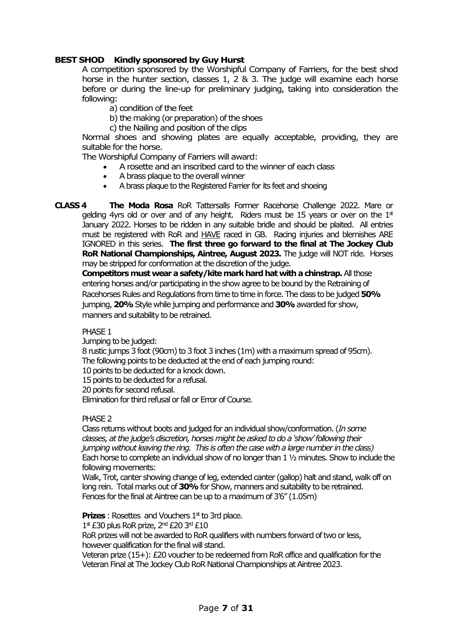#### **BEST SHOD Kindly sponsored by Guy Hurst**

A competition sponsored by the Worshipful Company of Farriers, for the best shod horse in the hunter section, classes 1, 2 & 3. The judge will examine each horse before or during the line-up for preliminary judging, taking into consideration the following:

- a) condition of the feet
- b) the making (or preparation) of the shoes
- c) the Nailing and position of the clips

Normal shoes and showing plates are equally acceptable, providing, they are suitable for the horse.

The Worshipful Company of Farriers will award:

- A rosette and an inscribed card to the winner of each class
- A brass plaque to the overall winner
- A brass plaque to the Registered Farrier for its feet and shoeing

**CLASS 4 The Moda Rosa** RoR Tattersalls Former Racehorse Challenge 2022. Mare or gelding 4yrs old or over and of any height. Riders must be 15 years or over on the  $1<sup>st</sup>$ January 2022. Horses to be ridden in any suitable bridle and should be plaited. All entries must be registered with RoR and HAVE raced in GB. Racing injuries and blemishes ARE IGNORED in this series. **The first three go forward to the final at The Jockey Club RoR National Championships, Aintree, August 2023.** The judge will NOT ride.Horses may be stripped for conformation at the discretion of the judge.

**Competitors must wear a safety/kite mark hard hat with a chinstrap.**All those entering horses and/or participating in the show agree to be bound by the Retraining of Racehorses Rules and Regulations from time to time in force. The class to be judged **50%** jumping, **20%**Style while jumping and performance and **30%**awarded for show, manners and suitability to be retrained.

#### PHASE 1

Jumping to be judged:

8 rustic jumps 3 foot (90cm) to 3 foot 3 inches (1m) with a maximum spread of 95cm). The following points to be deducted at the end of each jumping round:

10 points to be deducted for a knock down.

15 points to be deducted for a refusal.

20 points for second refusal.

Elimination for third refusal or fall or Error of Course.

#### PHASE<sub>2</sub>

Class returns without boots and judged for an individual show/conformation. (*In some classes, at the judge's discretion, horses might be asked to do a 'show' following their jumping without leaving the ring. This is often the case with a large number in the class)* Each horse to complete an individual show of no longer than 1 ½ minutes. Show to include the following movements:

Walk, Trot, canter showing change of leg, extended canter (gallop) halt and stand, walk off on long rein. Total marks out of **30%** for Show, manners and suitability to be retrained. Fences for the final at Aintree can be up to a maximum of 3'6" (1.05m)

**Prizes** : Rosettes and Vouchers  $1<sup>st</sup>$  to 3rd place.

 $1<sup>st</sup>$  £30 plus RoR prize,  $2<sup>nd</sup>$  £20 3<sup>rd</sup> £10

RoR prizes will not be awarded to RoR qualifiers with numbers forward of two or less, however qualification for the final will stand.

Veteran prize (15+): £20 voucher to be redeemed from RoR office and qualification for the Veteran Final at The Jockey Club RoR National Championships at Aintree 2023.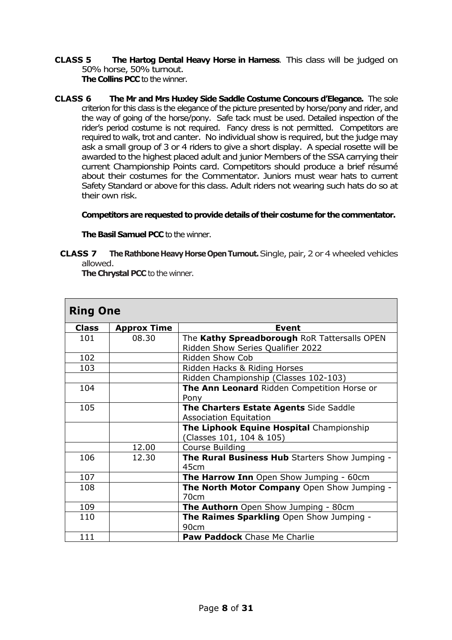**CLASS 5 The Hartog Dental Heavy Horse in Harness**. This class will be judged on 50% horse, 50% turnout.

**The Collins PCC** to the winner.

**CLASS 6 The Mr and Mrs Huxley Side Saddle Costume Concours d'Elegance.** The sole criterion for this class is the elegance of the picture presented by horse/pony and rider, and the way of going of the horse/pony. Safe tack must be used. Detailed inspection of the rider's period costume is not required. Fancy dress is not permitted. Competitors are required to walk, trot and canter. No individual show is required, but the judge may ask a small group of 3 or 4 riders to give a short display. A special rosette will be awarded to the highest placed adult and junior Members of the SSA carrying their current Championship Points card. Competitors should produce a brief résumé about their costumes for the Commentator. Juniors must wear hats to current Safety Standard or above for this class. Adult riders not wearing such hats do so at their own risk.

#### **Competitors are requested to provide details of their costume for the commentator.**

**The Basil Samuel PCC** to the winner.

**CLASS 7 The Rathbone Heavy Horse Open Turnout.** Single, pair, 2 or 4 wheeled vehicles allowed.

**The Chrystal PCC** to the winner.

| <b>Ring One</b> |                    |                                                                                   |
|-----------------|--------------------|-----------------------------------------------------------------------------------|
| Class           | <b>Approx Time</b> | <b>Event</b>                                                                      |
| 101             | 08.30              | The Kathy Spreadborough RoR Tattersalls OPEN<br>Ridden Show Series Qualifier 2022 |
| 102             |                    | Ridden Show Cob                                                                   |
| 103             |                    | Ridden Hacks & Riding Horses                                                      |
|                 |                    | Ridden Championship (Classes 102-103)                                             |
| 104             |                    | The Ann Leonard Ridden Competition Horse or<br>Pony                               |
| 105             |                    | The Charters Estate Agents Side Saddle<br><b>Association Equitation</b>           |
|                 |                    | The Liphook Equine Hospital Championship<br>(Classes 101, 104 & 105)              |
|                 | 12.00              | Course Building                                                                   |
| 106             | 12.30              | The Rural Business Hub Starters Show Jumping -<br>45cm                            |
| 107             |                    | The Harrow Inn Open Show Jumping - 60cm                                           |
| 108             |                    | The North Motor Company Open Show Jumping -<br>70cm                               |
| 109             |                    | The Authorn Open Show Jumping - 80cm                                              |
| 110             |                    | The Raimes Sparkling Open Show Jumping -<br>90cm                                  |
| 111             |                    | <b>Paw Paddock</b> Chase Me Charlie                                               |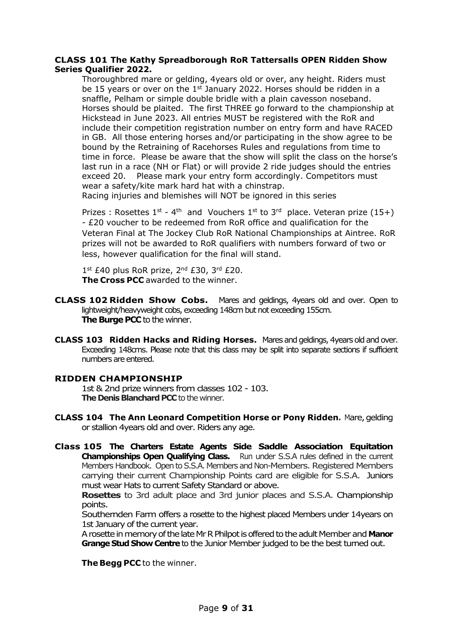#### **CLASS 101 The Kathy Spreadborough RoR Tattersalls OPEN Ridden Show Series Qualifier 2022.**

Thoroughbred mare or gelding, 4years old or over, any height. Riders must be 15 years or over on the 1<sup>st</sup> January 2022. Horses should be ridden in a snaffle, Pelham or simple double bridle with a plain cavesson noseband. Horses should be plaited. The first THREE go forward to the championship at Hickstead in June 2023. All entries MUST be registered with the RoR and include their competition registration number on entry form and have RACED in GB. All those entering horses and/or participating in the show agree to be bound by the Retraining of Racehorses Rules and regulations from time to time in force. Please be aware that the show will split the class on the horse's last run in a race (NH or Flat) or will provide 2 ride judges should the entries exceed 20. Please mark your entry form accordingly. Competitors must wear a safety/kite mark hard hat with a chinstrap.

Racing injuries and blemishes will NOT be ignored in this series

Prizes : Rosettes  $1^{st}$  - 4<sup>th</sup> and Vouchers  $1^{st}$  to  $3^{rd}$  place. Veteran prize (15+) - £20 voucher to be redeemed from RoR office and qualification for the Veteran Final at The Jockey Club RoR National Championships at Aintree. RoR prizes will not be awarded to RoR qualifiers with numbers forward of two or less, however qualification for the final will stand.

 $1^{\text{st}}$  £40 plus RoR prize,  $2^{\text{nd}}$  £30,  $3^{\text{rd}}$  £20. **The Cross PCC** awarded to the winner.

- **CLASS 102 Ridden Show Cobs.** Mares and geldings, 4years old and over. Open to lightweight/heavyweight cobs, exceeding 148cm but not exceeding 155cm. **The Burge PCC** to the winner.
- **CLASS 103 Ridden Hacks and Riding Horses.** Mares and geldings, 4years old and over. Exceeding 148cms. Please note that this class may be split into separate sections if sufficient numbers are entered.

#### **RIDDEN CHAMPIONSHIP**

1st & 2nd prize winners from classes 102 - 103. **The Denis Blanchard PCC** to the winner.

- **CLASS 104 The Ann Leonard Competition Horse or Pony Ridden.** Mare, gelding or stallion 4years old and over. Riders any age.
- **Class 105 The Charters Estate Agents Side Saddle Association Equitation Championships Open Qualifying Class.** Run under S.S.A rules defined in the current Members Handbook. Open to S.S.A. Members and Non-Members. Registered Members carrying their current Championship Points card are eligible for S.S.A. Juniors must wear Hats to current Safety Standard or above.

**Rosettes** to 3rd adult place and 3rd junior places and S.S.A. Championship points.

Southernden Farm offers a rosette to the highest placed Members under 14years on 1st January of the current year.

A rosette in memory of the late Mr R Philpot is offered to the adult Member and **Manor Grange Stud Show Centre** to the Junior Member judged to be the best turned out.

**The Begg PCC** to the winner.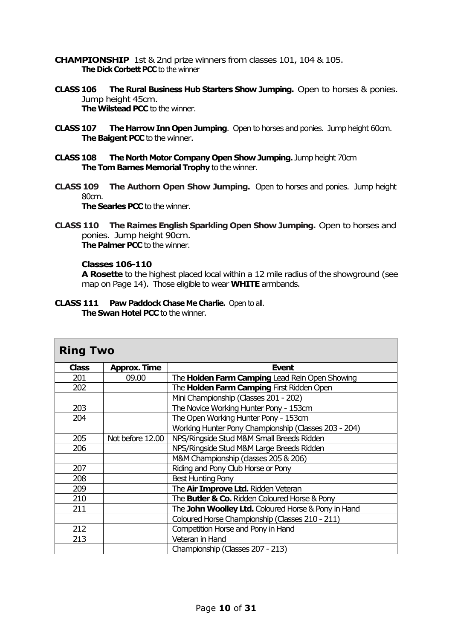**CHAMPIONSHIP** 1st & 2nd prize winners from classes 101, 104 & 105. **The Dick Corbett PCC** to the winner

- **CLASS 106 The Rural Business Hub Starters Show Jumping.** Open to horses & ponies. Jump height 45cm. **The Wilstead PCC** to the winner.
- **CLASS 107 The Harrow Inn Open Jumping**. Open to horses and ponies. Jump height 60cm. **The Baigent PCC** to the winner.
- **CLASS 108 The North Motor Company Open Show Jumping.** Jump height 70cm **The Tom Barnes Memorial Trophy** to the winner.
- **CLASS 109 The Authorn Open Show Jumping.** Open to horses and ponies. Jump height 80cm. **The Searles PCC** to the winner.
- **CLASS 110 The Raimes English Sparkling Open Show Jumping.** Open to horses and ponies. Jump height 90cm. **The Palmer PCC** to the winner.

#### **Classes 106-110**

**A Rosette** to the highest placed local within a 12 mile radius of the showground (see map on Page 14). Those eligible to wear **WHITE** armbands.

**CLASS 111 Paw Paddock Chase Me Charlie.** Open to all. **The Swan Hotel PCC** to the winner.

| <b>Ring Two</b> |                     |                                                          |  |  |
|-----------------|---------------------|----------------------------------------------------------|--|--|
| <b>Class</b>    | <b>Approx. Time</b> | <b>Event</b>                                             |  |  |
| 201             | 09.00               | The Holden Farm Camping Lead Rein Open Showing           |  |  |
| 202             |                     | The Holden Farm Camping First Ridden Open                |  |  |
|                 |                     | Mini Championship (Classes 201 - 202)                    |  |  |
| 203             |                     | The Novice Working Hunter Pony - 153cm                   |  |  |
| 204             |                     | The Open Working Hunter Pony - 153cm                     |  |  |
|                 |                     | Working Hunter Pony Championship (Classes 203 - 204)     |  |  |
| 205             | Not before 12.00    | NPS/Ringside Stud M&M Small Breeds Ridden                |  |  |
| 206             |                     | NPS/Ringside Stud M&M Large Breeds Ridden                |  |  |
|                 |                     | M&M Championship (classes 205 & 206)                     |  |  |
| 207             |                     | Riding and Pony Club Horse or Pony                       |  |  |
| 208             |                     | <b>Best Hunting Pony</b>                                 |  |  |
| 209             |                     | The Air Improve Ltd. Ridden Veteran                      |  |  |
| 210             |                     | The <b>Butler &amp; Co.</b> Ridden Coloured Horse & Pony |  |  |
| 211             |                     | The John Woolley Ltd. Coloured Horse & Pony in Hand      |  |  |
|                 |                     | Coloured Horse Championship (Classes 210 - 211)          |  |  |
| 212             |                     | Competition Horse and Pony in Hand                       |  |  |
| 213             |                     | Veteran in Hand                                          |  |  |
|                 |                     | Championship (Classes 207 - 213)                         |  |  |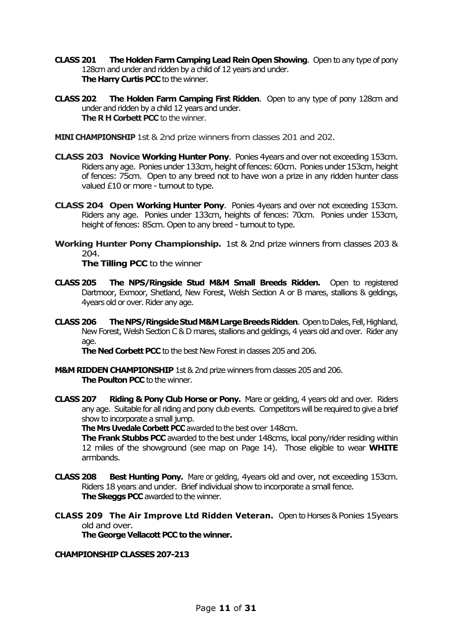- **CLASS 201 The Holden Farm Camping Lead Rein Open Showing. Open to any type of pony** 128cm and under and ridden by a child of 12 years and under. **The Harry Curtis PCC** to the winner.
- **CLASS 202 The Holden Farm Camping First Ridden**. Open to any type of pony 128cm and under and ridden by a child 12 years and under. **The R H Corbett PCC** to the winner.

**MINI CHAMPIONSHIP** 1st & 2nd prize winners from classes 201 and 202.

- **CLASS 203 Novice Working Hunter Pony**. Ponies 4years and over not exceeding 153cm. Riders any age. Ponies under 133cm, height of fences: 60cm. Ponies under 153cm, height of fences: 75cm. Open to any breed not to have won a prize in any ridden hunter class valued £10 or more - turnout to type.
- **CLASS 204 Open Working Hunter Pony**. Ponies 4years and over not exceeding 153cm. Riders any age. Ponies under 133cm, heights of fences: 70cm. Ponies under 153cm, height of fences: 85cm. Open to any breed - turnout to type.
- **Working Hunter Pony Championship.** 1st & 2nd prize winners from classes 203 &  $204.$

**The Tilling PCC** to the winner

- **CLASS 205 The NPS/Ringside Stud M&M Small Breeds Ridden.** Open to registered Dartmoor, Exmoor, Shetland, New Forest, Welsh Section A or B mares, stallions & geldings, 4years old or over. Rider any age.
- **CLASS 206 The NPS/Ringside Stud M&M Large Breeds Ridden**. Open to Dales, Fell, Highland, New Forest, Welsh Section C & D mares, stallions and geldings, 4 years old and over. Rider any age.

**The Ned Corbett PCC** to the best New Forest in dasses 205 and 206.

- **M&M RIDDEN CHAMPIONSHIP** 1st & 2nd prize winners from classes 205 and 206. **The Poulton PCC** to the winner.
- **CLASS 207 Riding & Pony Club Horse or Pony.** Mare or gelding, 4 years old and over. Riders any age. Suitable for all riding and pony club events. Competitors will be required to give a brief show to incorporate a small jump.

**The Mrs Uvedale Corbett PCC** awarded to the best over 148cm.

**The Frank Stubbs PCC** awarded to the best under 148cms, local pony/rider residing within 12 miles of the showground (see map on Page 14). Those eligible to wear **WHITE**  armbands.

- **CLASS 208 Best Hunting Pony.** Mare or gelding, 4years old and over, not exceeding 153cm. Riders 18 years and under. Brief individual show to incorporate a small fence. **The Skeggs PCC** awarded to the winner.
- **CLASS 209 The Air Improve Ltd Ridden Veteran.** Open to Horses & Ponies 15years old and over.

**The George Vellacott PCC to the winner.**

#### **CHAMPIONSHIP CLASSES 207-213**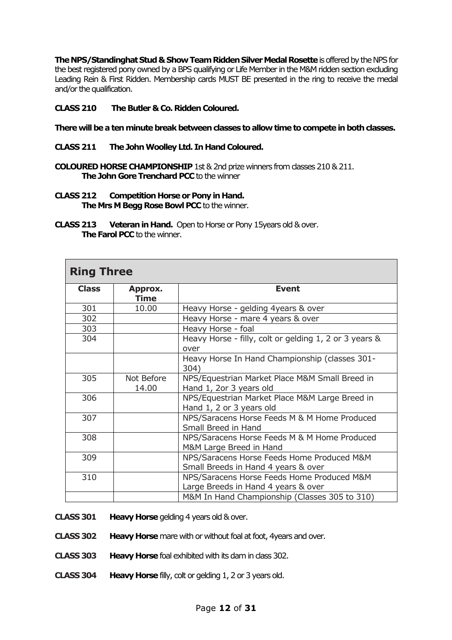**The NPS/StandinghatStud & Show Team Ridden Silver Medal Rosette**is offered by the NPS for the best registered pony owned by a BPS qualifying or Life Member in the M&M ridden section excluding Leading Rein & First Ridden. Membership cards MUST BE presented in the ring to receive the medal and/or the qualification.

#### **CLASS 210 The Butler & Co. Ridden Coloured.**

**There will be a tenminute break between classes to allow time to compete in both classes.**

- **CLASS 211 The John Woolley Ltd. In Hand Coloured.**
- **COLOURED HORSE CHAMPIONSHIP** 1st & 2nd prize winners from classes 210 & 211. **The John Gore Trenchard PCC** to the winner
- **CLASS 212 Competition Horse or Pony in Hand. The Mrs M Begg Rose Bowl PCC** to the winner.
- **CLASS 213 Veteran in Hand.** Open to Horse or Pony15years old & over. **The Farol PCC** to the winner.

| <b>Ring Three</b> |                     |                                                                                   |  |  |
|-------------------|---------------------|-----------------------------------------------------------------------------------|--|--|
| <b>Class</b>      | Approx.<br>Time     | <b>Event</b>                                                                      |  |  |
| 301               | 10.00               | Heavy Horse - gelding 4years & over                                               |  |  |
| 302               |                     | Heavy Horse - mare 4 years & over                                                 |  |  |
| 303               |                     | Heavy Horse - foal                                                                |  |  |
| 304               |                     | Heavy Horse - filly, colt or gelding 1, 2 or 3 years &<br>over                    |  |  |
|                   |                     | Heavy Horse In Hand Championship (classes 301-<br>304)                            |  |  |
| 305               | Not Before<br>14.00 | NPS/Equestrian Market Place M&M Small Breed in<br>Hand 1, 2or 3 years old         |  |  |
| 306               |                     | NPS/Equestrian Market Place M&M Large Breed in<br>Hand 1, 2 or 3 years old        |  |  |
| 307               |                     | NPS/Saracens Horse Feeds M & M Home Produced<br>Small Breed in Hand               |  |  |
| 308               |                     | NPS/Saracens Horse Feeds M & M Home Produced<br>M&M Large Breed in Hand           |  |  |
| 309               |                     | NPS/Saracens Horse Feeds Home Produced M&M<br>Small Breeds in Hand 4 years & over |  |  |
| 310               |                     | NPS/Saracens Horse Feeds Home Produced M&M<br>Large Breeds in Hand 4 years & over |  |  |
|                   |                     | M&M In Hand Championship (Classes 305 to 310)                                     |  |  |

**CLASS 301 Heavy Horse**gelding 4 years old & over.

- **CLASS 302 Heavy Horse** mare with or without foal at foot, 4years and over.
- **CLASS 303 Heavy Horse**foal exhibited with its dam in class 302.
- **CLASS 304 Heavy Horse**filly, colt or gelding 1, 2 or 3 years old.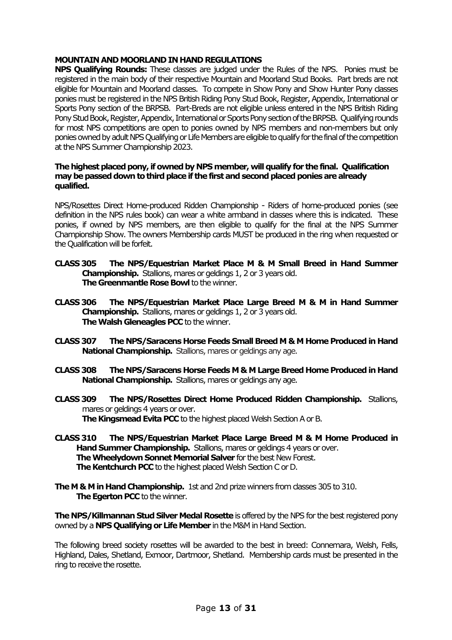#### **MOUNTAIN ANDMOORLAND IN HAND REGULATIONS**

**NPS Qualifying Rounds:** These classes are judged under the Rules of the NPS. Ponies must be registered in the main body of their respective Mountain and Moorland Stud Books. Part breds are not eligible for Mountain and Moorland classes. To compete in Show Pony and Show Hunter Pony classes ponies must be registered in the NPS British Riding Pony Stud Book, Register, Appendix, International or Sports Pony section of the BRPSB. Part-Breds are not eligible unless entered in the NPS British Riding Pony Stud Book, Register, Appendix, International or Sports Pony section of the BRPSB. Qualifying rounds for most NPS competitions are open to ponies owned by NPS members and non-members but only ponies owned by adult NPS Qualifying or Life Members are eligible to qualify for the final of the competition at the NPS Summer Championship 2023.

#### **The highest placed pony, if owned by NPS member,will qualify for the final. Qualification may be passeddown to third place if the first and second placed ponies are already qualified.**

NPS/Rosettes Direct Home-produced Ridden Championship - Riders of home-produced ponies (see definition in the NPS rules book) can wear a white armband in classes where this is indicated. These ponies, if owned by NPS members, are then eligible to qualify for the final at the NPS Summer Championship Show. The owners Membership cards MUST be produced in the ring when requested or the Qualification will be forfeit.

- **CLASS 305 The NPS/Equestrian Market Place M & M Small Breed in Hand Summer Championship.** Stallions, mares or geldings 1, 2 or 3 years old. **The Greenmantle Rose Bowl** to the winner.
- **CLASS 306 The NPS/Equestrian Market Place Large Breed M & M in Hand Summer Championship.** Stallions, mares or geldings 1, 2 or 3 years old. **The Walsh Gleneagles PCC** to the winner.
- **CLASS 307 The NPS/Saracens Horse Feeds Small BreedM & M Home Produced in Hand National Championship.** Stallions, mares or geldings any age.
- **CLASS 308 The NPS/Saracens Horse Feeds M & M Large Breed Home Produced in Hand National Championship.** Stallions, mares or geldings any age.
- **CLASS 309 The NPS/Rosettes Direct Home Produced Ridden Championship.** Stallions, mares or geldings 4 years or over. **The Kingsmead Evita PCC** to the highest placed Welsh Section A or B.
- **CLASS 310 The NPS/Equestrian Market Place Large Breed M & M Home Produced in Hand Summer Championship.** Stallions, mares or geldings 4 years or over. **The Wheelydown Sonnet Memorial Salver** for the best New Forest. **The Kentchurch PCC** to the highest placed Welsh Section C or D.
- **The M & M in Hand Championship.** 1st and 2nd prize winners from dasses 305 to 310. **The Egerton PCC** to the winner.

**The NPS/Killmannan Stud Silver Medal Rosette** is offered by the NPS for the best registered pony owned by a **NPS Qualifying or Life Member** in the M&M in Hand Section.

The following breed society rosettes will be awarded to the best in breed: Connemara, Welsh, Fells, Highland, Dales, Shetland, Exmoor, Dartmoor, Shetland. Membership cards must be presented in the ring to receive the rosette.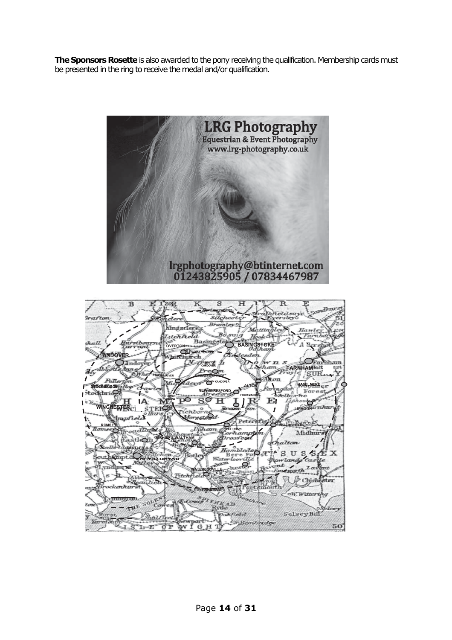**The Sponsors Rosette** is also awarded to the pony receiving the qualification. Membership cards must be presented in the ring to receive the medal and/or qualification.

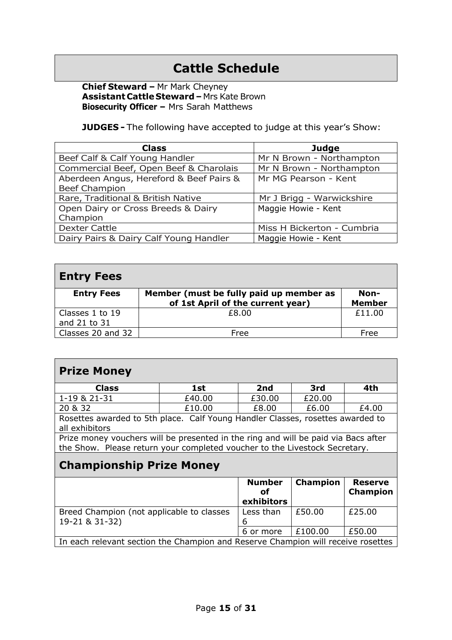# **Cattle Schedule**

**Chief Steward –** Mr Mark Cheyney **Assistant Cattle Steward –** Mrs Kate Brown **Biosecurity Officer –** Mrs Sarah Matthews

**JUDGES -** The following have accepted to judge at this year's Show:

| <b>Class</b>                            | <b>Judge</b>               |
|-----------------------------------------|----------------------------|
| Beef Calf & Calf Young Handler          | Mr N Brown - Northampton   |
| Commercial Beef, Open Beef & Charolais  | Mr N Brown - Northampton   |
| Aberdeen Angus, Hereford & Beef Pairs & | Mr MG Pearson - Kent       |
| <b>Beef Champion</b>                    |                            |
| Rare, Traditional & British Native      | Mr J Brigg - Warwickshire  |
| Open Dairy or Cross Breeds & Dairy      | Maggie Howie - Kent        |
| Champion                                |                            |
| <b>Dexter Cattle</b>                    | Miss H Bickerton - Cumbria |
| Dairy Pairs & Dairy Calf Young Handler  | Maggie Howie - Kent        |

| <b>Entry Fees</b>               |                                                                              |                       |
|---------------------------------|------------------------------------------------------------------------------|-----------------------|
| <b>Entry Fees</b>               | Member (must be fully paid up member as<br>of 1st April of the current year) | Non-<br><b>Member</b> |
| Classes 1 to 19<br>and 21 to 31 | £8.00                                                                        | £11.00                |
| Classes 20 and 32               | Free                                                                         | Free                  |

# **Prize Money**

| <b>Class</b>                                                                                                                                                                                                                                         | 1st    | 2nd    | 3rd    | 4th   |
|------------------------------------------------------------------------------------------------------------------------------------------------------------------------------------------------------------------------------------------------------|--------|--------|--------|-------|
| 1-19 & 21-31                                                                                                                                                                                                                                         | £40.00 | £30.00 | £20.00 |       |
| 20 & 32                                                                                                                                                                                                                                              | £10.00 | £8.00  | £6.00  | £4.00 |
| $C =  C $ $V = \cdots =  C $ $\equiv$ $\equiv$ $\equiv$ $C$ $\equiv$ $\equiv$ $\equiv$ $\equiv$ $\equiv$<br>المتحالين والتقارب والتراب والمرودين<br>$\mathbf{D}$ and $\mathbf{L}$ and $\mathbf{L}$<br>المتطلب المتارين والمستندد والمستنقذ والمستندد |        |        |        |       |

Rosettes awarded to 5th place. Calf Young Handler Classes, rosettes awarded to all exhibitors

Prize money vouchers will be presented in the ring and will be paid via Bacs after the Show. Please return your completed voucher to the Livestock Secretary.

# **Championship Prize Money**

|                                                                                  | <b>Number</b><br>οf<br>exhibitors | <b>Champion</b> | <b>Reserve</b><br><b>Champion</b> |
|----------------------------------------------------------------------------------|-----------------------------------|-----------------|-----------------------------------|
| Breed Champion (not applicable to classes<br>19-21 & 31-32)                      | Less than                         | £50.00          | £25.00                            |
|                                                                                  | 6 or more                         | £100.00         | £50.00                            |
| In each relevant section the Champion and Reserve Champion will receive rosettes |                                   |                 |                                   |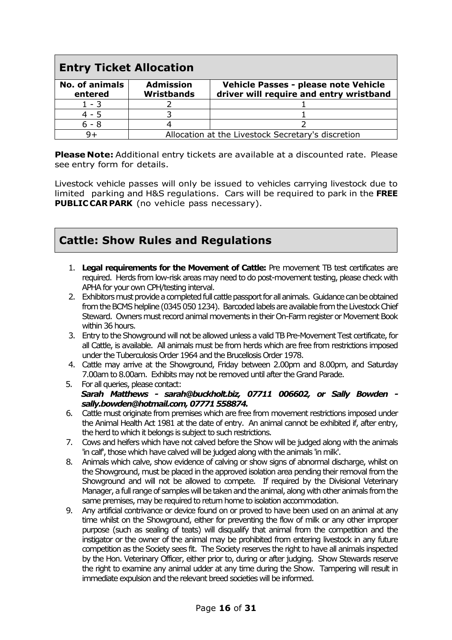| <b>Entry Ticket Allocation</b>   |                                                    |                                                                                 |
|----------------------------------|----------------------------------------------------|---------------------------------------------------------------------------------|
| <b>No. of animals</b><br>entered | <b>Admission</b><br><b>Wristbands</b>              | Vehicle Passes - please note Vehicle<br>driver will require and entry wristband |
| $1 - 3$                          |                                                    |                                                                                 |
| $4 - 5$                          |                                                    |                                                                                 |
| $6 - 8$                          |                                                    |                                                                                 |
|                                  | Allocation at the Livestock Secretary's discretion |                                                                                 |

**Please Note:** Additional entry tickets are available at a discounted rate. Please see entry form for details.

Livestock vehicle passes will only be issued to vehicles carrying livestock due to limited parking and H&S regulations. Cars will be required to park in the **FREE PUBLIC CARPARK** (no vehicle pass necessary).

# **Cattle: Show Rules and Regulations**

- 1. **Legal requirements for the Movement of Cattle:** Pre movement TB test certificates are required. Herds from low-risk areas may need to do post-movement testing, please check with APHA for your own CPH/testing interval.
- 2. Exhibitors must provide a completed full cattle passport for all animals. Guidance can be obtained from the BCMS helpline (0345 050 1234). Barcoded labels are available from the Livestock Chief Steward. Owners must record animal movements in their On-Farm register or Movement Book within 36 hours.
- 3. Entry to the Showground will not be allowed unless a valid TB Pre-Movement Test certificate, for all Cattle, is available. All animals must be from herds which are free from restrictions imposed under the Tuberculosis Order 1964 and the Brucellosis Order 1978.
- 4. Cattle may arrive at the Showground, Friday between 2.00pm and 8.00pm, and Saturday 7.00am to 8.00am. Exhibits may not be removed until after the Grand Parade.
- 5. For all queries, please contact:  *Sarah Matthews - sarah@buckholt.biz, 07711 006602, or Sally Bowden sally.bowden@hotmail.com, 07771 558874.*
- 6. Cattle must originate from premises which are free from movement restrictions imposed under the Animal Health Act 1981 at the date of entry. An animal cannot be exhibited if, after entry, the herd to which it belongs is subject to such restrictions.
- 7. Cows and heifers which have not calved before the Show will be judged along with the animals 'in calf', those which have calved will be judged along with the animals 'in milk'.
- 8. Animals which calve, show evidence of calving or show signs of abnormal discharge, whilst on the Showground, must be placed in the approved isolation area pending their removal from the Showground and will not be allowed to compete. If required by the Divisional Veterinary Manager, a full range of samples will be taken and the animal, along with other animals from the same premises, may be required to return home to isolation accommodation.
- 9. Any artificial contrivance or device found on or proved to have been used on an animal at any time whilst on the Showground, either for preventing the flow of milk or any other improper purpose (such as sealing of teats) will disqualify that animal from the competition and the instigator or the owner of the animal may be prohibited from entering livestock in any future competition as the Society sees fit. The Society reserves the right to have all animals inspected by the Hon. Veterinary Officer, either prior to, during or after judging. Show Stewards reserve the right to examine any animal udder at any time during the Show. Tampering will result in immediate expulsion and the relevant breed societies will be informed.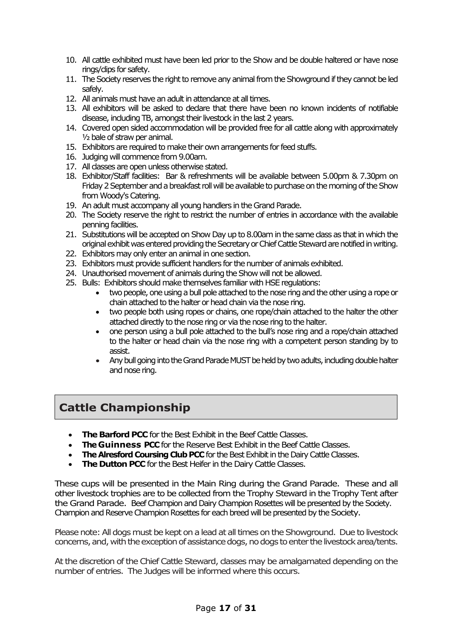- 10. All cattle exhibited must have been led prior to the Show and be double haltered or have nose rings/clips for safety.
- 11. The Society reserves the right to remove any animal from the Showground if they cannot be led safely.
- 12. All animals must have an adult in attendance at all times.
- 13. All exhibitors will be asked to declare that there have been no known incidents of notifiable disease, including TB, amongst their livestock in the last 2 years.
- 14. Covered open sided accommodation will be provided free for all cattle along with approximately ½ bale of straw per animal.
- 15. Exhibitors are required to make their own arrangements for feed stuffs.
- 16. Judging will commence from 9.00am.
- 17. All classes are open unless otherwise stated.
- 18. Exhibitor/Staff facilities: Bar & refreshments will be available between 5.00pm & 7.30pm on Friday 2 September and a breakfast roll will be available to purchase on the morning of the Show from Woody's Catering.
- 19. An adult must accompany all young handlers in the Grand Parade.
- 20. The Society reserve the right to restrict the number of entries in accordance with the available penning facilities.
- 21. Substitutions will be accepted on Show Day up to 8.00am in the same class as that in which the original exhibit was entered providing the Secretary or Chief Cattle Steward are notified in writing.
- 22. Exhibitors may only enter an animal in one section.
- 23. Exhibitors must provide sufficient handlers for the number of animals exhibited.
- 24. Unauthorised movement of animals during the Show will not be allowed.
- 25. Bulls: Exhibitors should make themselves familiar with HSE regulations:
	- two people, one using a bull pole attached to the nose ring and the other using a rope or chain attached to the halter or head chain via the nose ring.
	- two people both using ropes or chains, one rope/chain attached to the halter the other attached directly to the nose ring or via the nose ring to the halter.
	- one person using a bull pole attached to the bull's nose ring and a rope/chain attached to the halter or head chain via the nose ring with a competent person standing by to assist.
	- Any bull going into the Grand Parade MUST be held by two adults, including double halter and nose ring.

# **Cattle Championship**

- **The Barford PCC** for the Best Exhibit in the Beef Cattle Classes.
- **The Guinness PCC** for the Reserve Best Exhibit in the Beef Cattle Classes.
- **The Alresford Coursing Club PCC** for the Best Exhibit in the Dairy Cattle Classes.
- **The Dutton PCC** for the Best Heifer in the Dairy Cattle Classes.

These cups will be presented in the Main Ring during the Grand Parade. These and all other livestock trophies are to be collected from the Trophy Steward in the Trophy Tent after the Grand Parade. Beef Champion and Dairy Champion Rosettes will be presented by the Society. Champion and Reserve Champion Rosettes for each breed will be presented by the Society.

Please note: All dogs must be kept on a lead at all times on the Showground. Due to livestock concerns, and,with the exception of assistance dogs, no dogs to enter the livestock area/tents.

At the discretion of the Chief Cattle Steward, classes may be amalgamated depending on the number of entries. The Judges will be informed where this occurs.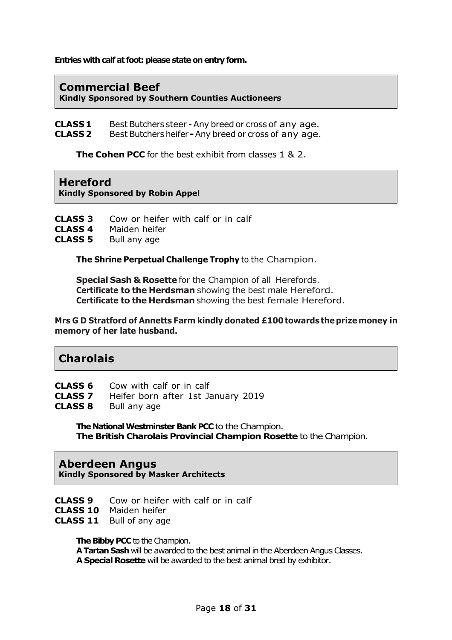**Entries with calf at foot: please state on entry form.**

#### **Commercial Beef Kindly Sponsored by Southern Counties Auctioneers**

**CLASS 1** Best Butchers steer - Any breed or cross of any age. **CLASS 2** Best Butchersheifer **-**Any breed or cross of any age.

**The Cohen PCC** for the best exhibit from classes 1 & 2.

#### **Hereford**

**Kindly Sponsored by Robin Appel**

**CLASS 3** Cow or heifer with calf or in calf

- **CLASS 4** Maiden heifer
- **CLASS 5** Bull any age

**The Shrine Perpetual Challenge Trophy** to the Champion.

**Special Sash & Rosette** for the Champion of all Herefords. **Certificate to the Herdsman** showing the best male Hereford. **Certificate to the Herdsman** showing the best female Hereford.

**Mrs G D Stratford of Annetts Farm kindly donated £100 towards theprizemoney in memory of her late husband.**

# **Charolais**

- **CLASS 6** Cow with calf or in calf
- **CLASS 7** Heifer born after 1st January 2019
- **CLASS 8** Bull any age

**The National Westminster Bank PCC** to the Champion. **The British Charolais Provincial Champion Rosette** to the Champion.

#### **Aberdeen Angus**

**Kindly Sponsored by Masker Architects**

- **CLASS 9** Cow or heifer with calf or in calf
- **CLASS 10** Maiden heifer
- **CLASS 11** Bull of any age

**The Bibby PCC** to the Champion.

**A Tartan Sash** will be awarded to the best animal in the Aberdeen Angus Classes. **A Special Rosette** will be awarded to the best animal bred by exhibitor.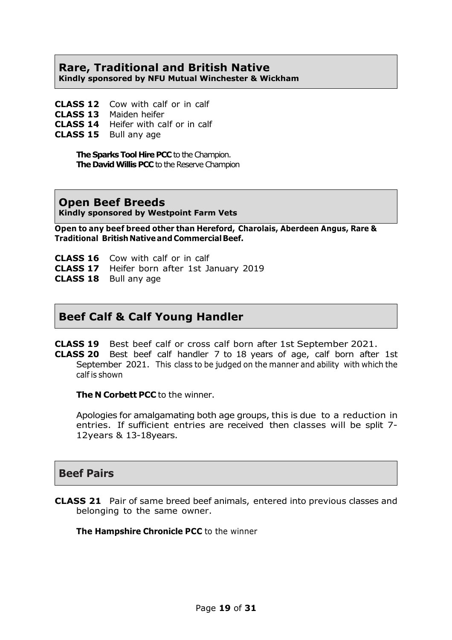# **Rare, Traditional and British Native**

**Kindly sponsored by NFU Mutual Winchester & Wickham**

- **CLASS 12** Cow with calf or in calf
- **CLASS 13** Maiden heifer
- **CLASS 14** Heifer with calf or in calf
- **CLASS 15** Bull any age

**The Sparks Tool Hire PCC** to the Champion. **The David Willis PCC** to the Reserve Champion

#### **Open Beef Breeds**

**Kindly sponsored by Westpoint Farm Vets**

**Open to any beef breed other than Hereford, Charolais, Aberdeen Angus, Rare & Traditional British Nativeand CommercialBeef.**

- **CLASS 16** Cow with calf or in calf
- **CLASS 17** Heifer born after 1st January 2019
- **CLASS 18** Bull any age

# **Beef Calf & Calf Young Handler**

**CLASS 19** Best beef calf or cross calf born after 1st September 2021.

**CLASS 20** Best beef calf handler 7 to 18 years of age, calf born after 1st September 2021. This class to be judged on the manner and ability with which the calf is shown

**The N Corbett PCC** to the winner.

Apologies for amalgamating both age groups, this is due to a reduction in entries. If sufficient entries are received then classes will be split 7- 12years & 13-18years.

#### **Beef Pairs**

**CLASS 21** Pair of same breed beef animals, entered into previous classes and belonging to the same owner.

**The Hampshire Chronicle PCC** to the winner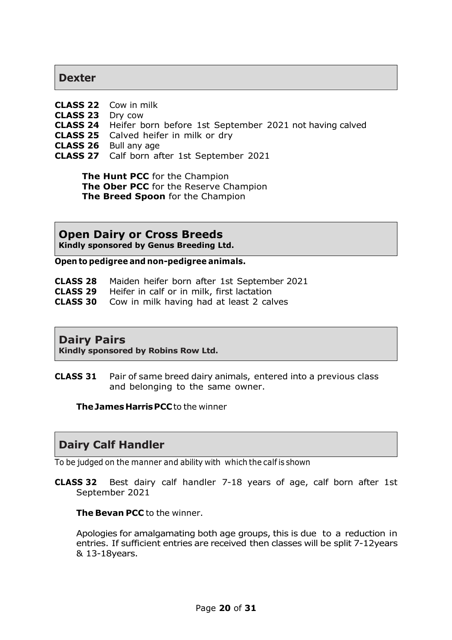#### **Dexter**

- **CLASS 22** Cow in milk
- **CLASS 23** Dry cow
- **CLASS 24** Heifer born before 1st September 2021 not having calved
- **CLASS 25** Calved heifer in milk or dry
- **CLASS 26** Bull any age
- **CLASS 27** Calf born after 1st September 2021

**The Hunt PCC** for the Champion **The Ober PCC** for the Reserve Champion **The Breed Spoon** for the Champion

**Open Dairy or Cross Breeds Kindly sponsored by Genus Breeding Ltd.**

**Open to pedigree and non-pedigree animals.**

- **CLASS 28** Maiden heifer born after 1st September 2021
- **CLASS 29** Heifer in calf or in milk, first lactation
- **CLASS 30** Cow in milk having had at least 2 calves

#### **Dairy Pairs**

**Kindly sponsored by Robins Row Ltd.**

**CLASS 31** Pair of same breed dairy animals, entered into a previous class and belonging to the same owner.

**TheJames HarrisPCC**to the winner

# **Dairy Calf Handler**

To be judged on the manner and ability with which the calf is shown

**CLASS 32** Best dairy calf handler 7-18 years of age, calf born after 1st September 2021

**The Bevan PCC** to the winner.

Apologies for amalgamating both age groups, this is due to a reduction in entries. If sufficient entries are received then classes will be split 7-12years & 13-18years.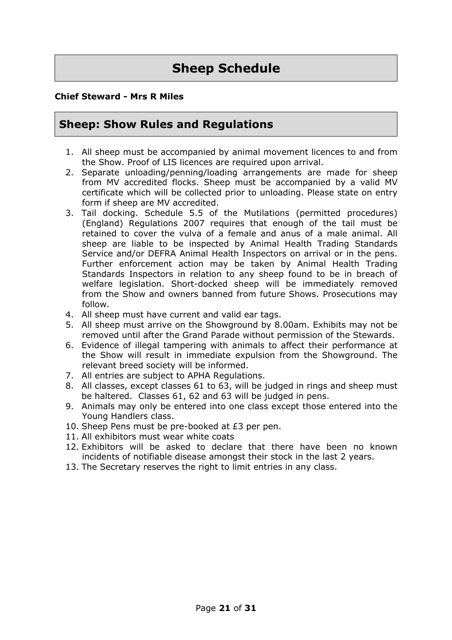# **Sheep Schedule**

#### **Chief Steward - Mrs R Miles**

# **Sheep: Show Rules and Regulations**

- 1. All sheep must be accompanied by animal movement licences to and from the Show. Proof of LIS licences are required upon arrival.
- 2. Separate unloading/penning/loading arrangements are made for sheep from MV accredited flocks. Sheep must be accompanied by a valid MV certificate which will be collected prior to unloading. Please state on entry form if sheep are MV accredited.
- 3. Tail docking. Schedule 5.5 of the Mutilations (permitted procedures) (England) Regulations 2007 requires that enough of the tail must be retained to cover the vulva of a female and anus of a male animal. All sheep are liable to be inspected by Animal Health Trading Standards Service and/or DEFRA Animal Health Inspectors on arrival or in the pens. Further enforcement action may be taken by Animal Health Trading Standards Inspectors in relation to any sheep found to be in breach of welfare legislation. Short-docked sheep will be immediately removed from the Show and owners banned from future Shows. Prosecutions may follow.
- 4. All sheep must have current and valid ear tags.
- 5. All sheep must arrive on the Showground by 8.00am. Exhibits may not be removed until after the Grand Parade without permission of the Stewards.
- 6. Evidence of illegal tampering with animals to affect their performance at the Show will result in immediate expulsion from the Showground. The relevant breed society will be informed.
- 7. All entries are subject to APHA Regulations.
- 8. All classes, except classes 61 to 63, will be judged in rings and sheep must be haltered. Classes 61, 62 and 63 will be judged in pens.
- 9. Animals may only be entered into one class except those entered into the Young Handlers class.
- 10. Sheep Pens must be pre-booked at £3 per pen.
- 11. All exhibitors must wear white coats
- 12. Exhibitors will be asked to declare that there have been no known incidents of notifiable disease amongst their stock in the last 2 years.
- 13. The Secretary reserves the right to limit entries in any class.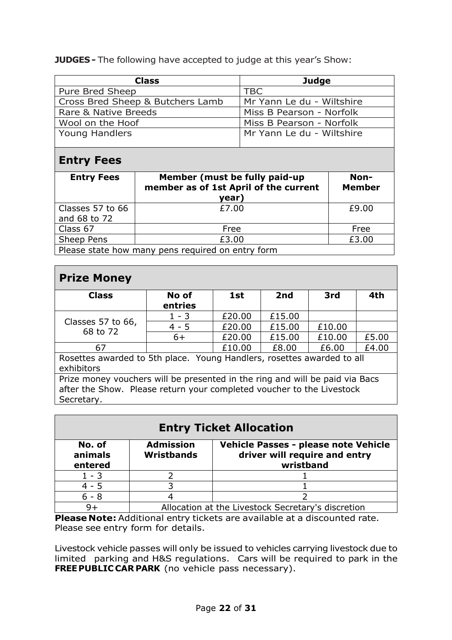**JUDGES** - The following have accepted to judge at this year's Show:

| <b>Class</b>                     | <b>Judge</b>              |
|----------------------------------|---------------------------|
| Pure Bred Sheep                  | <b>TBC</b>                |
| Cross Bred Sheep & Butchers Lamb | Mr Yann Le du - Wiltshire |
| Rare & Native Breeds             | Miss B Pearson - Norfolk  |
| Wool on the Hoof                 | Miss B Pearson - Norfolk  |
| <b>Young Handlers</b>            | Mr Yann Le du - Wiltshire |

# **Entry Fees**

| <b>Entry Fees</b>                                 | Member (must be fully paid-up<br>member as of 1st April of the current<br>year) | Non-<br><b>Member</b> |
|---------------------------------------------------|---------------------------------------------------------------------------------|-----------------------|
| Classes 57 to 66<br>and 68 to 72                  | £7.00                                                                           | £9.00                 |
| Class 67                                          | Free                                                                            | Free                  |
| Sheep Pens                                        | £3.00                                                                           | £3.00                 |
| Please state how many pens required on entry form |                                                                                 |                       |

# **Prize Money**

| <b>Class</b>                                                                                                                                          | No of<br>entries | 1st    | 2nd    | 3rd    | 4th   |
|-------------------------------------------------------------------------------------------------------------------------------------------------------|------------------|--------|--------|--------|-------|
| Classes 57 to 66,<br>68 to 72                                                                                                                         | $1 - 3$          | £20.00 | £15.00 |        |       |
|                                                                                                                                                       | $4 - 5$          | £20.00 | £15.00 | £10.00 |       |
|                                                                                                                                                       | $6+$             | £20.00 | £15.00 | £10.00 | £5.00 |
| 67                                                                                                                                                    |                  | £10.00 | £8.00  | £6.00  | £4.00 |
| Rosettes awarded to 5th place. Young Handlers, rosettes awarded to all<br>exhibitors                                                                  |                  |        |        |        |       |
| Prize money vouchers will be presented in the ring and will be paid via Bacs<br>after the Show. Please return your completed voucher to the Livestock |                  |        |        |        |       |

Secretary. **Entry Ticket Allocation No. of animals entered Admission Wristbands Vehicle Passes - please note Vehicle driver will require and entry wristband**

 $1 - 3$  2 1 4 - 5 | 3 | 1  $6 - 8$  4 2 9+ Allocation at the Livestock Secretary's discretion

**Please Note:** Additional entry tickets are available at a discounted rate. Please see entry form for details.

Livestock vehicle passes will only be issued to vehicles carrying livestock due to limited parking and H&S regulations. Cars will be required to park in the **FREEPUBLIC CAR PARK** (no vehicle pass necessary).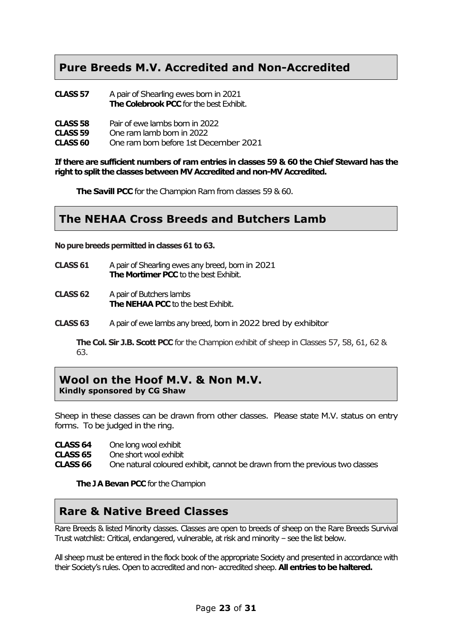# **Pure Breeds M.V. Accredited and Non-Accredited**

| CLASS 57 | A pair of Shearling ewes born in 2021   |
|----------|-----------------------------------------|
|          | The Colebrook PCC for the best Exhibit. |

| <b>CLASS 58</b> | Pair of ewe lambs born in 2022       |
|-----------------|--------------------------------------|
| CLASS 59        | One ram lamb born in 2022            |
| <b>CLASS 60</b> | One ram bom before 1st December 2021 |

**If there are sufficient numbers of ram entries in classes 59 & 60 the Chief Steward has the right to split the classesbetween MV Accredited and non-MV Accredited.**

**The Savill PCC** for the Champion Ram from classes 59 & 60.

# **The NEHAA Cross Breeds and Butchers Lamb**

**Nopure breeds permitted in classes 61 to 63.**

- **CLASS 61** A pair of Shearling ewes any breed, bornin 2021 **The Mortimer PCC** to the best Exhibit.
- **CLASS 62** A pair of Butchers lambs **The NEHAA PCC** to the best Exhibit.
- **CLASS 63** A pair of ewe lambs any breed, born in2022 bred by exhibitor

**The Col. Sir J.B. Scott PCC** for the Champion exhibit of sheep in Classes 57, 58, 61, 62 & 63.

#### **Wool on the Hoof M.V. & Non M.V. Kindly sponsored by CG Shaw**

Sheep in these classes can be drawn from other classes. Please state M.V. status on entry forms. To be judged in the ring.

| CLASS <sub>64</sub> | One long wool exhibit |
|---------------------|-----------------------|
|---------------------|-----------------------|

**CLASS 65** One short wool exhibit<br>**CLASS 66** One natural coloured

One natural coloured exhibit, cannot be drawn from the previous two classes

**The J A Bevan PCC** for the Champion

# **Rare & Native Breed Classes**

Rare Breeds & listed Minority classes. Classes are open to breeds of sheep on the Rare Breeds Survival Trust watchlist: Critical, endangered, vulnerable, at risk and minority - see the list below.

All sheep must be entered in the flock book of the appropriate Society and presented in accordance with their Society's rules. Open to accredited and non- accredited sheep. **All entries to be haltered.**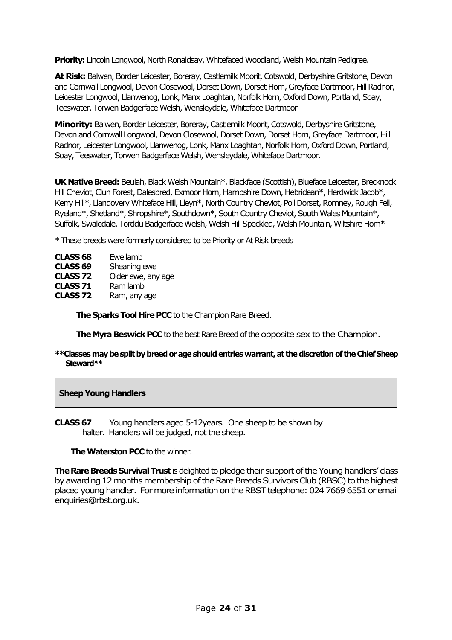**Priority:** Lincoln Longwool, North Ronaldsay, Whitefaced Woodland, Welsh Mountain Pedigree.

**At Risk:** Balwen, Border Leicester, Boreray, Castlemilk Moorit, Cotswold, Derbyshire Gritstone, Devon and Cornwall Longwool, Devon Closewool, Dorset Down, Dorset Horn, Greyface Dartmoor, Hill Radnor, Leicester Longwool, Llanwenog, Lonk, Manx Loaghtan, Norfolk Horn, Oxford Down, Portland, Soay, Teeswater, Torwen Badgerface Welsh, Wensleydale, Whiteface Dartmoor

**Minority:** Balwen, Border Leicester, Boreray, Castlemilk Moorit, Cotswold, Derbyshire Gritstone, Devon and Cornwall Longwool, Devon Closewool, Dorset Down, Dorset Horn, Greyface Dartmoor, Hill Radnor, Leicester Longwool, Llanwenog, Lonk, Manx Loaghtan, Norfolk Horn, Oxford Down, Portland, Soay, Teeswater, Torwen Badgerface Welsh, Wensleydale, Whiteface Dartmoor.

**UK Native Breed:**Beulah, Black Welsh Mountain\*, Blackface (Scottish), Blueface Leicester, Brecknock Hill Cheviot, Clun Forest, Dalesbred, Exmoor Horn, Hampshire Down, Hebridean\*, Herdwick Jacob\*, Kerry Hill\*, Llandovery Whiteface Hill, Lleyn\*, North Country Cheviot, Poll Dorset, Romney, Rough Fell, Ryeland\*, Shetland\*, Shropshire\*, Southdown\*, South Country Cheviot, South Wales Mountain\*, Suffolk, Swaledale, Torddu Badgerface Welsh, Welsh Hill Speckled, Welsh Mountain, Wiltshire Horn\*

\* These breeds were formerly considered to be Priority or At Risk breeds

| <b>CLASS 68</b>     | Ewe lamb           |
|---------------------|--------------------|
| CLASS <sub>69</sub> | Shearling ewe      |
| CLASS <sub>72</sub> | Older ewe, any age |
| CLASS <sub>71</sub> | Ram lamb           |
| CLASS <sub>72</sub> | Ram, any age       |
|                     |                    |

**The Sparks Tool Hire PCC** to the Champion Rare Breed.

**The Myra Beswick PCC** to the best Rare Breed of the opposite sex to the Champion.

**\*\*Classes may be split by breed or age shouldentries warrant, at the discretion of the ChiefSheep Steward\*\***

#### **Sheep Young Handlers**

**CLASS 67** Young handlers aged 5-12years. One sheep to be shown by halter. Handlers will be judged, not the sheep.

#### **The Waterston PCC** to the winner.

**The Rare Breeds Survival Trust** is delighted to pledge their support of the Young handlers' class by awarding 12 months membership of the Rare Breeds Survivors Club (RBSC) to the highest placed young handler. For more information on the RBST telephone: 024 7669 6551 or email enquiries@rbst.org.uk.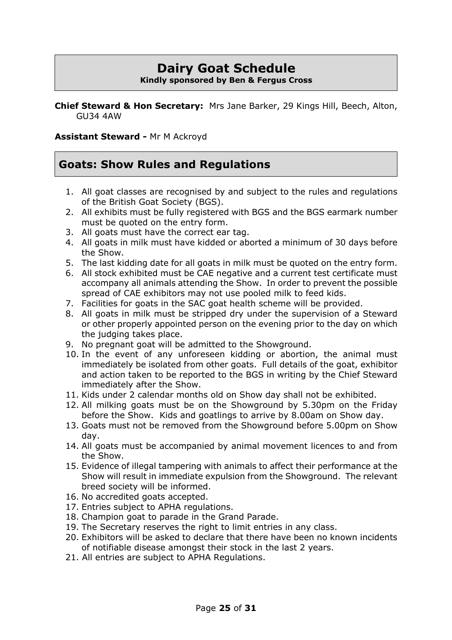#### **Dairy Goat Schedule Kindly sponsored by Ben & Fergus Cross**

**Chief Steward & Hon Secretary:** Mrs Jane Barker, 29 Kings Hill, Beech, Alton, GU34 4AW

#### **Assistant Steward -** Mr M Ackroyd

# **Goats: Show Rules and Regulations**

- 1. All goat classes are recognised by and subject to the rules and regulations of the British Goat Society (BGS).
- 2. All exhibits must be fully registered with BGS and the BGS earmark number must be quoted on the entry form.
- 3. All goats must have the correct ear tag.
- 4. All goats in milk must have kidded or aborted a minimum of 30 days before the Show.
- 5. The last kidding date for all goats in milk must be quoted on the entry form.
- 6. All stock exhibited must be CAE negative and a current test certificate must accompany all animals attending the Show. In order to prevent the possible spread of CAE exhibitors may not use pooled milk to feed kids.
- 7. Facilities for goats in the SAC goat health scheme will be provided.
- 8. All goats in milk must be stripped dry under the supervision of a Steward or other properly appointed person on the evening prior to the day on which the judging takes place.
- 9. No pregnant goat will be admitted to the Showground.
- 10. In the event of any unforeseen kidding or abortion, the animal must immediately be isolated from other goats. Full details of the goat, exhibitor and action taken to be reported to the BGS in writing by the Chief Steward immediately after the Show.
- 11. Kids under 2 calendar months old on Show day shall not be exhibited.
- 12. All milking goats must be on the Showground by 5.30pm on the Friday before the Show. Kids and goatlings to arrive by 8.00am on Show day.
- 13. Goats must not be removed from the Showground before 5.00pm on Show day.
- 14. All goats must be accompanied by animal movement licences to and from the Show.
- 15. Evidence of illegal tampering with animals to affect their performance at the Show will result in immediate expulsion from the Showground. The relevant breed society will be informed.
- 16. No accredited goats accepted.
- 17. Entries subject to APHA regulations.
- 18. Champion goat to parade in the Grand Parade.
- 19. The Secretary reserves the right to limit entries in any class.
- 20. Exhibitors will be asked to declare that there have been no known incidents of notifiable disease amongst their stock in the last 2 years.
- 21. All entries are subject to APHA Regulations.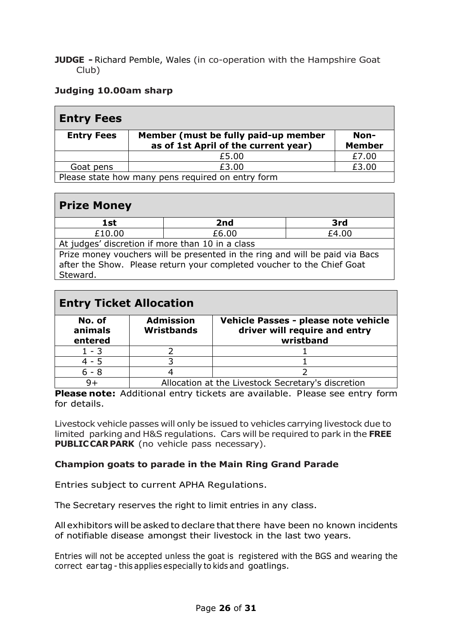**JUDGE -** Richard Pemble, Wales (in co-operation with the Hampshire Goat Club)

#### **Judging 10.00am sharp**

| <b>Entry Fees</b>                                 |                                                                              |                       |
|---------------------------------------------------|------------------------------------------------------------------------------|-----------------------|
| <b>Entry Fees</b>                                 | Member (must be fully paid-up member<br>as of 1st April of the current year) | Non-<br><b>Member</b> |
|                                                   | £5.00                                                                        | £7.00                 |
| Goat pens                                         | £3.00                                                                        | £3.00                 |
| Please state how many pens required on entry form |                                                                              |                       |

# **Prize Money**

| <b>1st</b>                                       | 2nd   | 3rd   |  |
|--------------------------------------------------|-------|-------|--|
| £10.00                                           | £6.00 | £4.00 |  |
| At judges' discretion if more than 10 in a class |       |       |  |

Prize money vouchers will be presented in the ring and will be paid via Bacs after the Show. Please return your completed voucher to the Chief Goat Steward.

| <b>Entry Ticket Allocation</b> |                                                    |                                                                                    |  |
|--------------------------------|----------------------------------------------------|------------------------------------------------------------------------------------|--|
| No. of<br>animals<br>entered   | <b>Admission</b><br><b>Wristbands</b>              | Vehicle Passes - please note vehicle<br>driver will require and entry<br>wristband |  |
| $1 - 3$                        |                                                    |                                                                                    |  |
| $4 - 5$                        |                                                    |                                                                                    |  |
| $6 - 8$                        |                                                    |                                                                                    |  |
| $9+$                           | Allocation at the Livestock Secretary's discretion |                                                                                    |  |

**Please note:** Additional entry tickets are available. Please see entry form for details.

Livestock vehicle passes will only be issued to vehicles carrying livestock due to limited parking and H&S regulations. Cars will be required to park in the **FREE PUBLIC CAR PARK** (no vehicle pass necessary).

#### **Champion goats to parade in the Main Ring Grand Parade**

Entries subject to current APHA Regulations.

The Secretary reserves the right to limit entries in any class.

All exhibitors will be asked to declare thatthere have been no known incidents of notifiable disease amongst their livestock in the last two years.

Entries will not be accepted unless the goat is registered with the BGS and wearing the correct ear tag - this applies especially to kids and goatlings.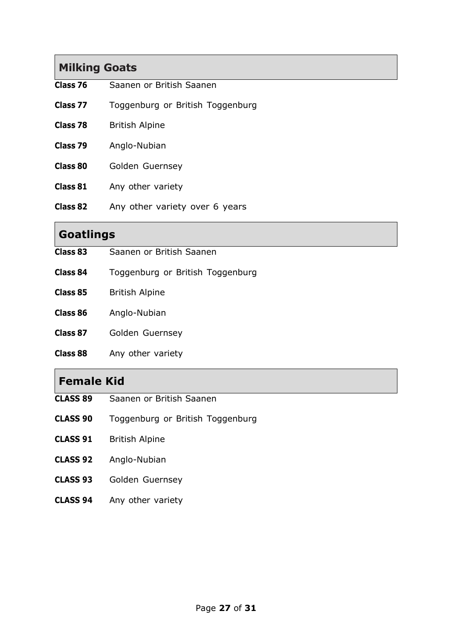# **Milking Goats**

- **Class 76** Saanen or British Saanen
- **Class 77** Toggenburg or British Toggenburg
- **Class 78** British Alpine
- **Class 79** Anglo-Nubian
- **Class 80** Golden Guernsey
- **Class 81** Any other variety
- **Class 82** Any other variety over 6 years

# **Goatlings**

- **Class 83** Saanen or British Saanen
- **Class 84** Toggenburg or British Toggenburg
- **Class 85** British Alpine
- **Class 86** Anglo-Nubian
- **Class 87** Golden Guernsey
- **Class 88** Any other variety

#### **Female Kid**

- **CLASS 89** Saanen or British Saanen
- **CLASS 90** Toggenburg or British Toggenburg
- **CLASS 91** British Alpine
- **CLASS 92** Anglo-Nubian
- **CLASS 93** Golden Guernsey
- **CLASS 94** Any other variety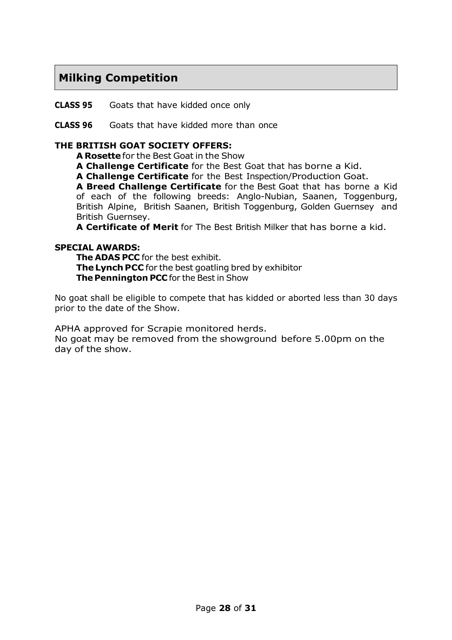# **Milking Competition**

**CLASS 95** Goats that have kidded once only

#### **CLASS 96** Goats that have kidded more than once

#### **THE BRITISH GOAT SOCIETY OFFERS:**

**A Rosette**for the Best Goat in the Show

**A Challenge Certificate** for the Best Goat that has borne a Kid.

**A Challenge Certificate** for the Best Inspection/Production Goat.

**A Breed Challenge Certificate** for the Best Goat that has borne a Kid of each of the following breeds: Anglo-Nubian, Saanen, Toggenburg, British Alpine, British Saanen, British Toggenburg, Golden Guernsey and British Guernsey.

**A Certificate of Merit** for The Best British Milker that has borne a kid.

#### **SPECIAL AWARDS:**

**The ADAS PCC** for the best exhibit. **The Lynch PCC** for the best goatling bred by exhibitor **The Pennington PCC** for the Best in Show

No goat shall be eligible to compete that has kidded or aborted less than 30 days prior to the date of the Show.

APHA approved for Scrapie monitored herds.

No goat may be removed from the showground before 5.00pm on the day of the show.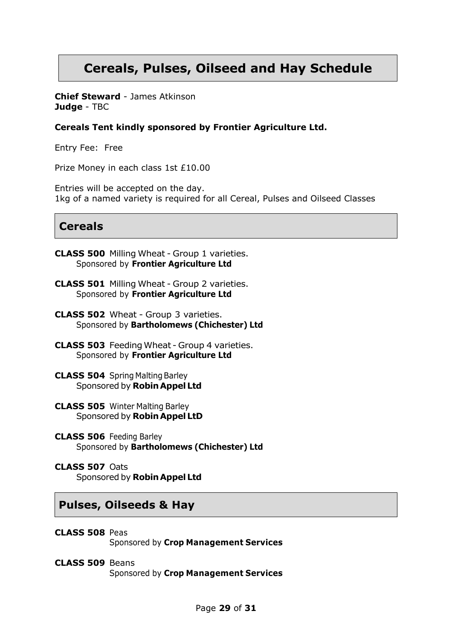# **Cereals, Pulses, Oilseed and Hay Schedule**

**Chief Steward** - James Atkinson **Judge** - TBC

#### **Cereals Tent kindly sponsored by Frontier Agriculture Ltd.**

Entry Fee: Free

Prize Money in each class 1st £10.00

Entries will be accepted on the day. 1kg of a named variety is required for all Cereal, Pulses and Oilseed Classes

### **Cereals**

- **CLASS 500** Milling Wheat Group 1 varieties. Sponsored by **Frontier Agriculture Ltd**
- **CLASS 501** Milling Wheat Group 2 varieties. Sponsored by **Frontier Agriculture Ltd**
- **CLASS 502** Wheat Group 3 varieties. Sponsored by **Bartholomews (Chichester) Ltd**
- **CLASS 503** FeedingWheat Group 4 varieties. Sponsored by **Frontier Agriculture Ltd**
- **CLASS 504** Spring Malting Barley Sponsored by **RobinAppelLtd**
- **CLASS 505** Winter Malting Barley Sponsored by **Robin Appel LtD**
- **CLASS 506** Feeding Barley Sponsored by **Bartholomews (Chichester) Ltd**
- **CLASS 507** Oats Sponsored by **RobinAppelLtd**

#### **Pulses, Oilseeds & Hay**

- **CLASS 508** Peas Sponsored by **Crop Management Services**
- **CLASS 509** Beans Sponsored by **Crop Management Services**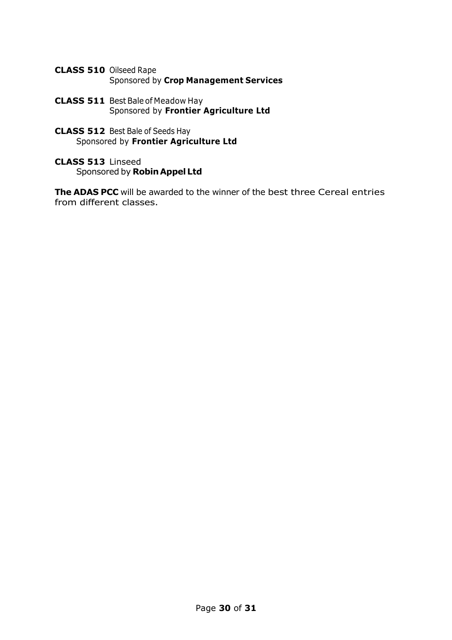- **CLASS 510** Oilseed Rape Sponsored by **Crop Management Services**
- **CLASS 511** Best Bale of Meadow Hay Sponsored by **Frontier Agriculture Ltd**
- **CLASS 512** Best Bale of Seeds Hay Sponsored by **Frontier Agriculture Ltd**
- **CLASS 513** Linseed Sponsored by **RobinAppelLtd**

**The ADAS PCC** will be awarded to the winner of the best three Cereal entries from different classes.